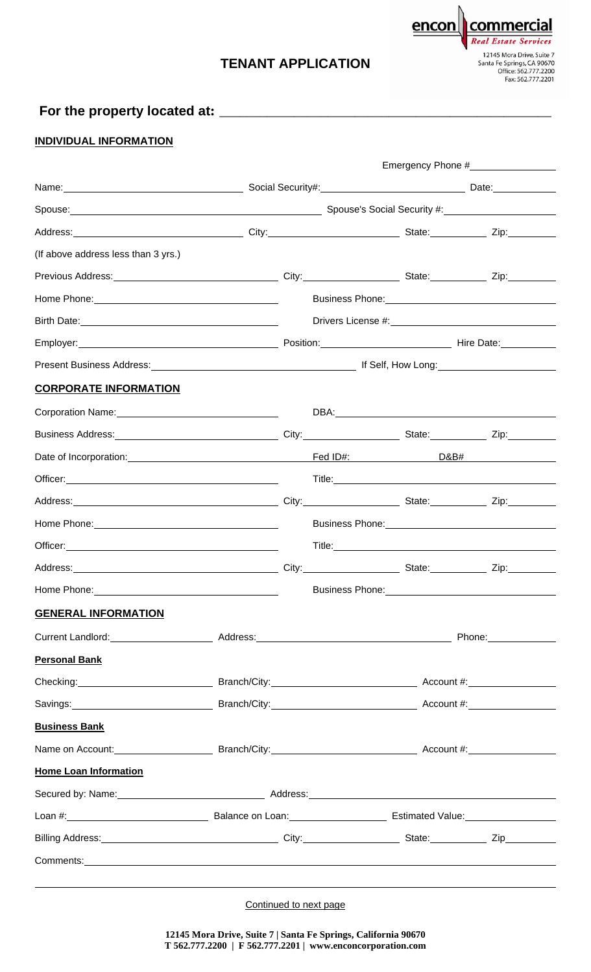## **TENANT APPLICATION**

**Real Estate** 12145 Mora Drive, Suite 7<br>Santa Fe Springs, CA 90670<br>Office: 562.777.2200<br>Fax: 562.777.2201

commercial

encon

## **For the property located at: \_\_\_\_\_\_\_\_\_\_\_\_\_\_\_\_\_\_\_\_\_\_\_\_\_\_\_\_\_\_\_\_\_\_\_\_\_\_\_\_\_\_\_\_\_\_\_\_\_**

## **INDIVIDUAL INFORMATION**

|                                                                                                                                                                                                                               | Emergency Phone #                                                                     |                                                                                                                                                                                                                                |                                                                       |                                                                                                                 |  |  |
|-------------------------------------------------------------------------------------------------------------------------------------------------------------------------------------------------------------------------------|---------------------------------------------------------------------------------------|--------------------------------------------------------------------------------------------------------------------------------------------------------------------------------------------------------------------------------|-----------------------------------------------------------------------|-----------------------------------------------------------------------------------------------------------------|--|--|
|                                                                                                                                                                                                                               |                                                                                       |                                                                                                                                                                                                                                |                                                                       |                                                                                                                 |  |  |
|                                                                                                                                                                                                                               |                                                                                       |                                                                                                                                                                                                                                | Spouse: <u>Communications of Spouse's</u> Spouse's Social Security #: |                                                                                                                 |  |  |
|                                                                                                                                                                                                                               |                                                                                       |                                                                                                                                                                                                                                |                                                                       |                                                                                                                 |  |  |
| (If above address less than 3 yrs.)                                                                                                                                                                                           |                                                                                       |                                                                                                                                                                                                                                |                                                                       |                                                                                                                 |  |  |
| Previous Address: Xample 2010 City: Xample 2010 City: Xample 2010 State: Xample 2ip: Xip: Xip: Xample 2ip: Xample 2ip: Xample 2ip: Xample 2ip: Xample 2ip: Xample 2ip: Xample 2ip: Xample 2ip: Xample 2ip: Xample 2ip: Xample |                                                                                       |                                                                                                                                                                                                                                |                                                                       |                                                                                                                 |  |  |
|                                                                                                                                                                                                                               |                                                                                       |                                                                                                                                                                                                                                |                                                                       |                                                                                                                 |  |  |
|                                                                                                                                                                                                                               |                                                                                       |                                                                                                                                                                                                                                |                                                                       |                                                                                                                 |  |  |
|                                                                                                                                                                                                                               |                                                                                       |                                                                                                                                                                                                                                |                                                                       |                                                                                                                 |  |  |
|                                                                                                                                                                                                                               |                                                                                       |                                                                                                                                                                                                                                |                                                                       |                                                                                                                 |  |  |
| <b>CORPORATE INFORMATION</b>                                                                                                                                                                                                  |                                                                                       |                                                                                                                                                                                                                                |                                                                       |                                                                                                                 |  |  |
| Corporation Name: Manneletter and the Corporation Name:                                                                                                                                                                       |                                                                                       |                                                                                                                                                                                                                                |                                                                       |                                                                                                                 |  |  |
|                                                                                                                                                                                                                               |                                                                                       |                                                                                                                                                                                                                                |                                                                       |                                                                                                                 |  |  |
|                                                                                                                                                                                                                               |                                                                                       |                                                                                                                                                                                                                                |                                                                       |                                                                                                                 |  |  |
|                                                                                                                                                                                                                               |                                                                                       |                                                                                                                                                                                                                                |                                                                       | Title: <u>Andrea Communication of the Communication</u>                                                         |  |  |
| Address: Zip: Zip: Zip: City: City: City: State: Zip: Zip:                                                                                                                                                                    |                                                                                       |                                                                                                                                                                                                                                |                                                                       |                                                                                                                 |  |  |
|                                                                                                                                                                                                                               |                                                                                       |                                                                                                                                                                                                                                |                                                                       |                                                                                                                 |  |  |
|                                                                                                                                                                                                                               |                                                                                       |                                                                                                                                                                                                                                |                                                                       | Title: The Commission of the Commission of the Commission of the Commission of the Commission of the Commission |  |  |
| Address: <u>Zip: Zip:</u> City: City: City: City: State: Zip: Zip:                                                                                                                                                            |                                                                                       |                                                                                                                                                                                                                                |                                                                       |                                                                                                                 |  |  |
| Home Phone:                                                                                                                                                                                                                   |                                                                                       |                                                                                                                                                                                                                                | <b>Business Phone:</b>                                                |                                                                                                                 |  |  |
| <b>GENERAL INFORMATION</b>                                                                                                                                                                                                    |                                                                                       |                                                                                                                                                                                                                                |                                                                       |                                                                                                                 |  |  |
|                                                                                                                                                                                                                               |                                                                                       |                                                                                                                                                                                                                                |                                                                       |                                                                                                                 |  |  |
| <b>Personal Bank</b>                                                                                                                                                                                                          |                                                                                       |                                                                                                                                                                                                                                |                                                                       |                                                                                                                 |  |  |
|                                                                                                                                                                                                                               |                                                                                       |                                                                                                                                                                                                                                |                                                                       |                                                                                                                 |  |  |
|                                                                                                                                                                                                                               | Savings: Account #: Account #: Account #: Account #: Account #: Account #: Account #: |                                                                                                                                                                                                                                |                                                                       |                                                                                                                 |  |  |
| <b>Business Bank</b>                                                                                                                                                                                                          |                                                                                       |                                                                                                                                                                                                                                |                                                                       |                                                                                                                 |  |  |
|                                                                                                                                                                                                                               |                                                                                       |                                                                                                                                                                                                                                |                                                                       |                                                                                                                 |  |  |
| <b>Home Loan Information</b>                                                                                                                                                                                                  |                                                                                       |                                                                                                                                                                                                                                |                                                                       |                                                                                                                 |  |  |
|                                                                                                                                                                                                                               |                                                                                       |                                                                                                                                                                                                                                |                                                                       |                                                                                                                 |  |  |
|                                                                                                                                                                                                                               |                                                                                       | Loan #: \\compare \\compare \\compare \\compare \\compare \\compare \\compare \\compare \\compare \\compare \\compare \\compare \\compare \\compare \\compare \\compare \\compare \\compare \\compare \\compare \\compare \\co |                                                                       |                                                                                                                 |  |  |
|                                                                                                                                                                                                                               |                                                                                       |                                                                                                                                                                                                                                |                                                                       |                                                                                                                 |  |  |

Continued to next page